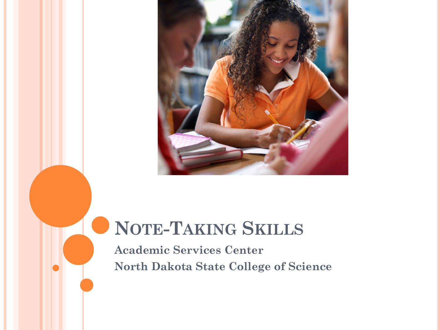

## **NOTE-TAKING SKILLS**

**Academic Services Center North Dakota State College of Science**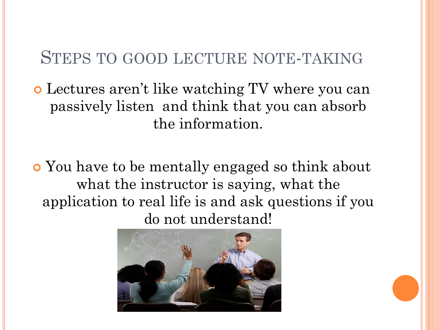#### STEPS TO GOOD LECTURE NOTE-TAKING

¢ Lectures aren't like watching TV where you can passively listen and think that you can absorb the information.

¢ You have to be mentally engaged so think about what the instructor is saying, what the application to real life is and ask questions if you do not understand!

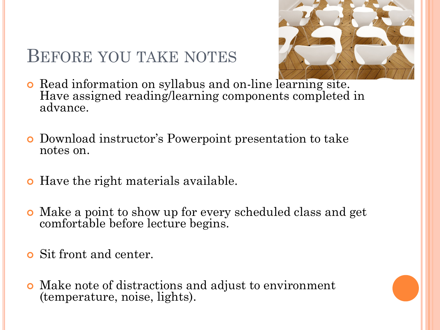### BEFORE YOU TAKE NOTES



- ¢ Read information on syllabus and on-line learning site. Have assigned reading/learning components completed in advance.
- ¢ Download instructor's Powerpoint presentation to take notes on.
- Have the right materials available.
- ¢ Make a point to show up for every scheduled class and get comfortable before lecture begins.
- ¢ Sit front and center.
- ¢ Make note of distractions and adjust to environment (temperature, noise, lights).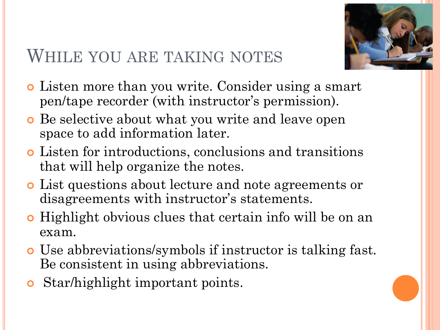

# WHILE YOU ARE TAKING NOTES

- ¢ Listen more than you write. Consider using a smart pen/tape recorder (with instructor's permission).
- ¢ Be selective about what you write and leave open space to add information later.
- ¢ Listen for introductions, conclusions and transitions that will help organize the notes.
- ¢ List questions about lecture and note agreements or disagreements with instructor's statements.
- ¢ Highlight obvious clues that certain info will be on an exam.
- ¢ Use abbreviations/symbols if instructor is talking fast. Be consistent in using abbreviations.
- ¢ Star/highlight important points.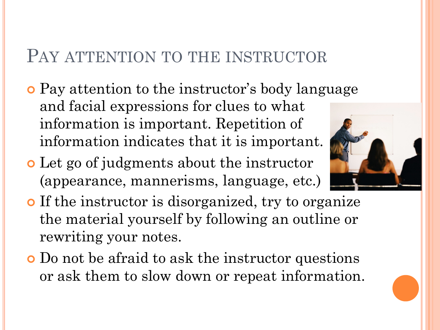#### PAY ATTENTION TO THE INSTRUCTOR

- ¢ Pay attention to the instructor's body language and facial expressions for clues to what information is important. Repetition of information indicates that it is important.
- ¢ Let go of judgments about the instructor (appearance, mannerisms, language, etc.)
- ¢ If the instructor is disorganized, try to organize the material yourself by following an outline or rewriting your notes.
- ¢ Do not be afraid to ask the instructor questions or ask them to slow down or repeat information.

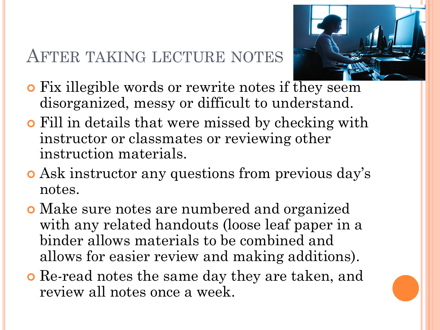### AFTER TAKING LECTURE NOTES



- ¢ Fix illegible words or rewrite notes if they seem disorganized, messy or difficult to understand.
- ¢ Fill in details that were missed by checking with instructor or classmates or reviewing other instruction materials.
- ¢ Ask instructor any questions from previous day's notes.
- ¢ Make sure notes are numbered and organized with any related handouts (loose leaf paper in a binder allows materials to be combined and allows for easier review and making additions).
- ¢ Re-read notes the same day they are taken, and review all notes once a week.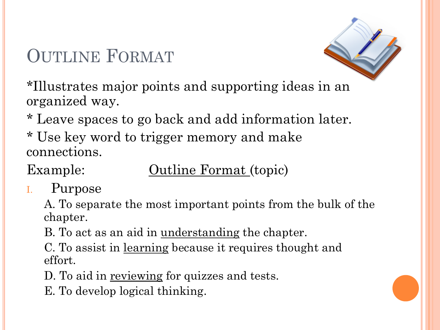# OUTLINE FORMAT



\*Illustrates major points and supporting ideas in an organized way.

\* Leave spaces to go back and add information later.

\* Use key word to trigger memory and make connections.

Example: <u>Outline Format</u> (topic)

#### I. Purpose

A. To separate the most important points from the bulk of the chapter.

B. To act as an aid in <u>understanding</u> the chapter.

C. To assist in learning because it requires thought and effort.

D. To aid in <u>reviewing</u> for quizzes and tests.

E. To develop logical thinking.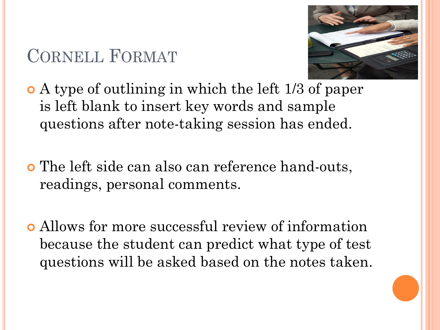# CORNELL FORMAT



- ¢ A type of outlining in which the left 1/3 of paper is left blank to insert key words and sample questions after note-taking session has ended.
- ¢ The left side can also can reference hand-outs, readings, personal comments.
- ¢ Allows for more successful review of information because the student can predict what type of test questions will be asked based on the notes taken.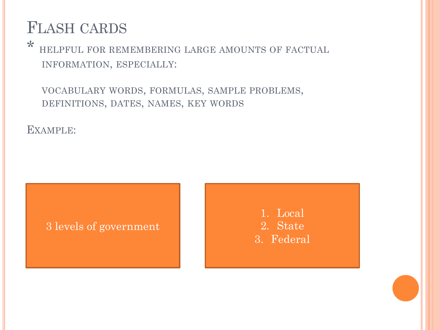#### FLASH CARDS

\* HELPFUL FOR REMEMBERING LARGE AMOUNTS OF FACTUAL INFORMATION, ESPECIALLY:

VOCABULARY WORDS, FORMULAS, SAMPLE PROBLEMS, DEFINITIONS, DATES, NAMES, KEY WORDS

EXAMPLE:

3 levels of government

1. Local 2. State 3. Federal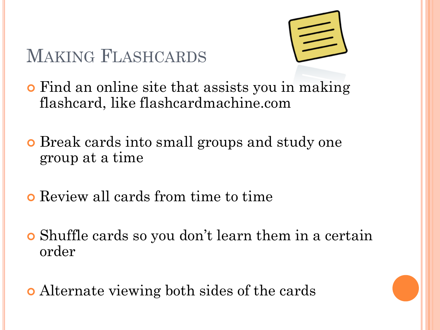# MAKING FLASHCARDS



- ¢ Find an online site that assists you in making flashcard, like flashcardmachine.com
- ¢ Break cards into small groups and study one group at a time
- ¢ Review all cards from time to time
- ¢ Shuffle cards so you don't learn them in a certain order
- ¢ Alternate viewing both sides of the cards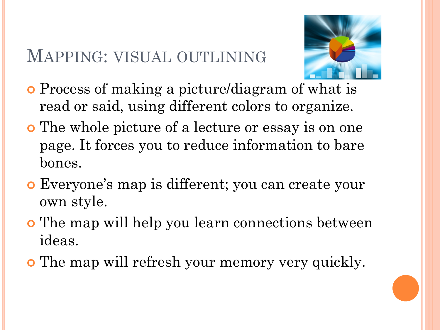#### MAPPING: VISUAL OUTLINING



- ¢ Process of making a picture/diagram of what is read or said, using different colors to organize.
- ¢ The whole picture of a lecture or essay is on one page. It forces you to reduce information to bare bones.
- ¢ Everyone's map is different; you can create your own style.
- ¢ The map will help you learn connections between ideas.
- ¢ The map will refresh your memory very quickly.